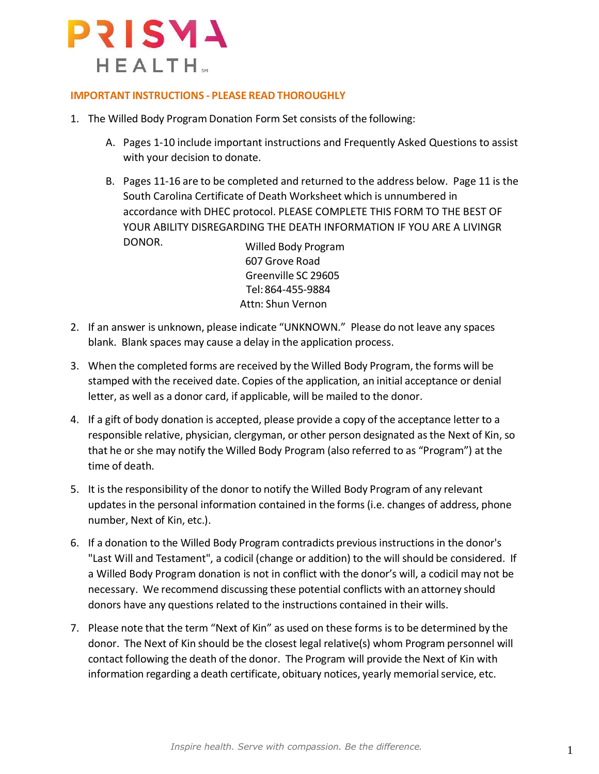

#### **IMPORTANT INSTRUCTIONS - PLEASE READ THOROUGHLY**

- 1. The Willed Body Program Donation Form Set consists of the following:
	- A. Pages 1-10 include important instructions and Frequently Asked Questions to assist with your decision to donate.
	- B. Pages 11-16 are to be completed and returned to the address below. Page 11 is the South Carolina Certificate of Death Worksheet which is unnumbered in accordance with DHEC protocol. PLEASE COMPLETE THIS FORM TO THE BEST OF YOUR ABILITY DISREGARDING THE DEATH INFORMATION IF YOU ARE A LIVINGR DONOR. Willed Body Program

607 Grove Road Greenville SC 29605 Tel:864-455-9884 Attn: Shun Vernon

- 2. If an answer is unknown, please indicate "UNKNOWN." Please do not leave any spaces blank. Blank spaces may cause a delay in the application process.
- 3. When the completed forms are received by the Willed Body Program, the forms will be stamped with the received date. Copies of the application, an initial acceptance or denial letter, as well as a donor card, if applicable, will be mailed to the donor.
- 4. If a gift of body donation is accepted, please provide a copy of the acceptance letter to a responsible relative, physician, clergyman, or other person designated asthe Next of Kin, so that he or she may notify the Willed Body Program (also referred to as "Program") at the time of death.
- 5. It is the responsibility of the donor to notify the Willed Body Program of any relevant updates in the personal information contained in the forms(i.e. changes of address, phone number, Next of Kin, etc.).
- 6. If a donation to the Willed Body Program contradicts previousinstructionsin the donor's "Last Will and Testament", a codicil (change or addition) to the will should be considered. If a Willed Body Program donation is not in conflict with the donor's will, a codicil may not be necessary. We recommend discussing these potential conflicts with an attorney should donors have any questions related to the instructions contained in their wills.
- 7. Please note that the term "Next of Kin" as used on these forms isto be determined by the donor. The Next of Kin should be the closest legal relative(s) whom Program personnel will contact following the death of the donor. The Program will provide the Next of Kin with information regarding a death certificate, obituary notices, yearly memorial service, etc.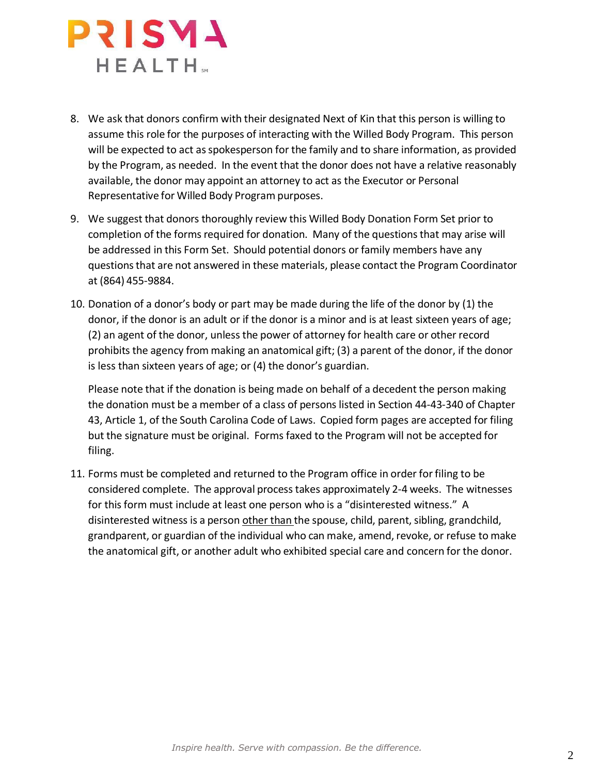

- 8. We ask that donors confirm with their designated Next of Kin that this person is willing to assume this role for the purposes of interacting with the Willed Body Program. This person will be expected to act as spokesperson for the family and to share information, as provided by the Program, as needed. In the event that the donor does not have a relative reasonably available, the donor may appoint an attorney to act as the Executor or Personal Representative for Willed Body Program purposes.
- 9. We suggest that donors thoroughly review this Willed Body Donation Form Set prior to completion of the forms required for donation. Many of the questions that may arise will be addressed in this Form Set. Should potential donors or family members have any questionsthat are not answered in these materials, please contact the Program Coordinator at (864) 455-9884.
- 10. Donation of a donor's body or part may be made during the life of the donor by (1) the donor, if the donor is an adult or if the donor is a minor and is at least sixteen years of age; (2) an agent of the donor, unlessthe power of attorney for health care or other record prohibits the agency from making an anatomical gift; (3) a parent of the donor, if the donor is less than sixteen years of age; or (4) the donor's guardian.

Please note that if the donation is being made on behalf of a decedent the person making the donation must be a member of a class of persons listed in Section 44-43-340 of Chapter 43, Article 1, of the South Carolina Code of Laws. Copied form pages are accepted for filing but the signature must be original. Forms faxed to the Program will not be accepted for filing.

11. Forms must be completed and returned to the Program office in order forfiling to be considered complete. The approval processtakes approximately 2-4 weeks. The witnesses for this form must include at least one person who is a "disinterested witness." A disinterested witness is a person other than the spouse, child, parent, sibling, grandchild, grandparent, or guardian of the individual who can make, amend, revoke, or refuse to make the anatomical gift, or another adult who exhibited special care and concern for the donor.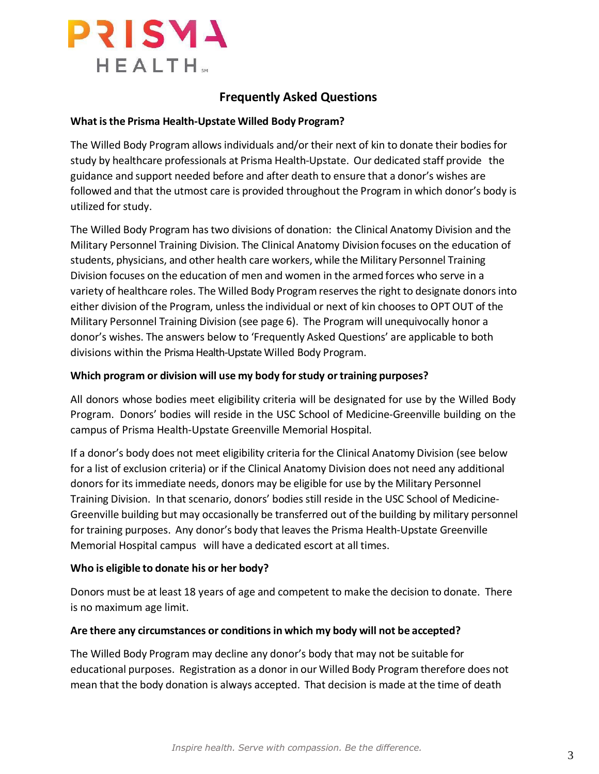

# **Frequently Asked Questions**

#### **What isthe Prisma Health-Upstate Willed Body Program?**

The Willed Body Program allows individuals and/or their next of kin to donate their bodies for study by healthcare professionals at Prisma Health-Upstate. Our dedicated staff provide the guidance and support needed before and after death to ensure that a donor's wishes are followed and that the utmost care is provided throughout the Program in which donor's body is utilized for study.

The Willed Body Program hastwo divisions of donation: the Clinical Anatomy Division and the Military Personnel Training Division. The Clinical Anatomy Division focuses on the education of students, physicians, and other health care workers, while the Military Personnel Training Division focuses on the education of men and women in the armed forces who serve in a variety of healthcare roles. The Willed Body Program reserves the right to designate donorsinto either division of the Program, unless the individual or next of kin chooses to OPT OUT of the Military Personnel Training Division (see page 6). The Program will unequivocally honor a donor's wishes. The answers below to 'Frequently Asked Questions' are applicable to both divisions within the Prisma Health-UpstateWilled Body Program.

#### **Which program or division will use my body forstudy ortraining purposes?**

All donors whose bodies meet eligibility criteria will be designated for use by the Willed Body Program. Donors' bodies will reside in the USC School of Medicine-Greenville building on the campus of Prisma Health-Upstate Greenville Memorial Hospital.

If a donor's body does not meet eligibility criteria for the Clinical Anatomy Division (see below for a list of exclusion criteria) or if the Clinical Anatomy Division does not need any additional donors for its immediate needs, donors may be eligible for use by the Military Personnel Training Division. In that scenario, donors' bodiesstill reside in the USC School of Medicine-Greenville building but may occasionally be transferred out of the building by military personnel for training purposes. Any donor's body that leaves the Prisma Health-Upstate Greenville Memorial Hospital campus will have a dedicated escort at all times.

#### **Who is eligible to donate his or her body?**

Donors must be at least 18 years of age and competent to make the decision to donate. There is no maximum age limit.

#### **Are there any circumstances or conditionsin which my body will not be accepted?**

The Willed Body Program may decline any donor's body that may not be suitable for educational purposes. Registration as a donor in our Willed Body Program therefore does not mean that the body donation is always accepted. That decision is made at the time of death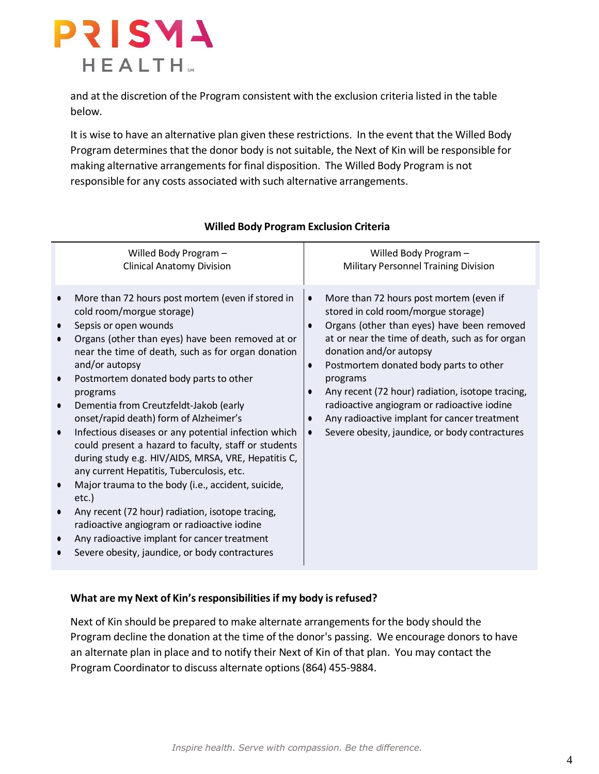

and at the discretion of the Program consistent with the exclusion criteria listed in the table below.

It is wise to have an alternative plan given these restrictions. In the event that the Willed Body Program determines that the donor body is not suitable, the Next of Kin will be responsible for making alternative arrangements for final disposition. The Willed Body Program is not responsible for any costs associated with such alternative arrangements.

| Willed Body Program -                                                                                                                                                                                                                                                                                                                                                                                                                                                                                                                                                                                                                                                                                                                                                                                                                                                                                                                  | Willed Body Program -                                                                                                                                                                                                                                                                                                                                                                                                                                                                                                                               |
|----------------------------------------------------------------------------------------------------------------------------------------------------------------------------------------------------------------------------------------------------------------------------------------------------------------------------------------------------------------------------------------------------------------------------------------------------------------------------------------------------------------------------------------------------------------------------------------------------------------------------------------------------------------------------------------------------------------------------------------------------------------------------------------------------------------------------------------------------------------------------------------------------------------------------------------|-----------------------------------------------------------------------------------------------------------------------------------------------------------------------------------------------------------------------------------------------------------------------------------------------------------------------------------------------------------------------------------------------------------------------------------------------------------------------------------------------------------------------------------------------------|
| <b>Clinical Anatomy Division</b>                                                                                                                                                                                                                                                                                                                                                                                                                                                                                                                                                                                                                                                                                                                                                                                                                                                                                                       | <b>Military Personnel Training Division</b>                                                                                                                                                                                                                                                                                                                                                                                                                                                                                                         |
| More than 72 hours post mortem (even if stored in<br>cold room/morgue storage)<br>Sepsis or open wounds<br>$\bullet$<br>Organs (other than eyes) have been removed at or<br>near the time of death, such as for organ donation<br>and/or autopsy<br>Postmortem donated body parts to other<br>$\bullet$<br>programs<br>Dementia from Creutzfeldt-Jakob (early<br>$\bullet$<br>onset/rapid death) form of Alzheimer's<br>Infectious diseases or any potential infection which<br>$\bullet$<br>could present a hazard to faculty, staff or students<br>during study e.g. HIV/AIDS, MRSA, VRE, Hepatitis C,<br>any current Hepatitis, Tuberculosis, etc.<br>Major trauma to the body (i.e., accident, suicide,<br>etc.)<br>Any recent (72 hour) radiation, isotope tracing,<br>$\bullet$<br>radioactive angiogram or radioactive iodine<br>Any radioactive implant for cancer treatment<br>Severe obesity, jaundice, or body contractures | More than 72 hours post mortem (even if<br>$\bullet$<br>stored in cold room/morgue storage)<br>Organs (other than eyes) have been removed<br>$\bullet$<br>at or near the time of death, such as for organ<br>donation and/or autopsy<br>Postmortem donated body parts to other<br>$\bullet$<br>programs<br>Any recent (72 hour) radiation, isotope tracing,<br>$\bullet$<br>radioactive angiogram or radioactive iodine<br>Any radioactive implant for cancer treatment<br>$\bullet$<br>Severe obesity, jaundice, or body contractures<br>$\bullet$ |

## **Willed Body Program Exclusion Criteria**

#### **What are my Next of Kin'sresponsibilitiesif my body isrefused?**

Next of Kin should be prepared to make alternate arrangements for the body should the Program decline the donation at the time of the donor's passing. We encourage donors to have an alternate plan in place and to notify their Next of Kin of that plan. You may contact the Program Coordinator to discuss alternate options(864) 455-9884.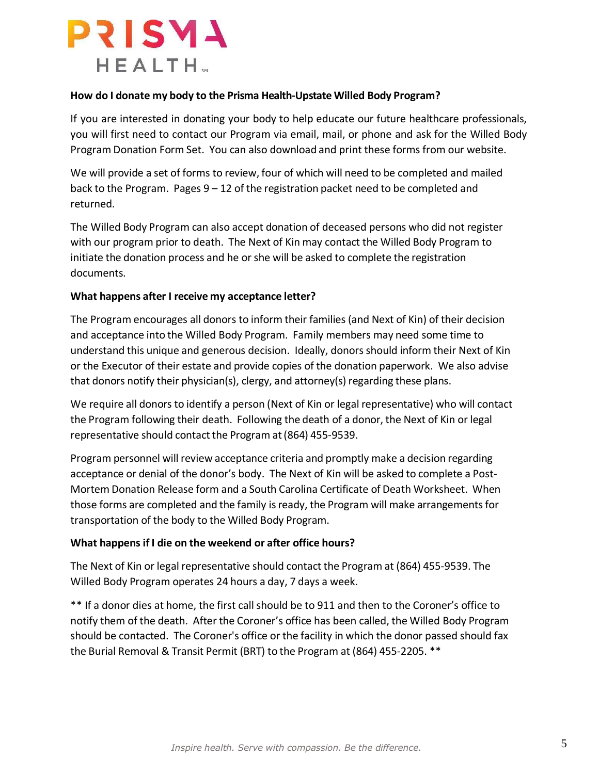

### **How do I donate my body to the Prisma Health-Upstate Willed Body Program?**

If you are interested in donating your body to help educate our future healthcare professionals, you will first need to contact our Program via email, mail, or phone and ask for the Willed Body Program Donation Form Set. You can also download and print these forms from our website.

We will provide a set of forms to review, four of which will need to be completed and mailed back to the Program. Pages 9 – 12 of the registration packet need to be completed and returned.

The Willed Body Program can also accept donation of deceased persons who did not register with our program prior to death. The Next of Kin may contact the Willed Body Program to initiate the donation process and he or she will be asked to complete the registration documents.

### **What happens after I receive my acceptance letter?**

The Program encourages all donors to inform their families(and Next of Kin) of their decision and acceptance into the Willed Body Program. Family members may need some time to understand this unique and generous decision. Ideally, donorsshould inform their Next of Kin or the Executor of their estate and provide copies of the donation paperwork. We also advise that donors notify their physician(s), clergy, and attorney(s) regarding these plans.

We require all donors to identify a person (Next of Kin or legal representative) who will contact the Program following their death. Following the death of a donor, the Next of Kin or legal representative should contact the Program at (864) 455-9539.

Program personnel will review acceptance criteria and promptly make a decision regarding acceptance or denial of the donor's body. The Next of Kin will be asked to complete a Post-Mortem Donation Release form and a South Carolina Certificate of Death Worksheet. When those forms are completed and the family is ready, the Program will make arrangements for transportation of the body to the Willed Body Program.

#### **What happens if I die on the weekend or after office hours?**

The Next of Kin or legal representative should contact the Program at (864) 455-9539. The Willed Body Program operates 24 hours a day, 7 days a week.

\*\* If a donor dies at home, the first call should be to 911 and then to the Coroner's office to notify them of the death. After the Coroner's office has been called, the Willed Body Program should be contacted. The Coroner's office or the facility in which the donor passed should fax the Burial Removal & Transit Permit (BRT) to the Program at (864) 455-2205. \*\*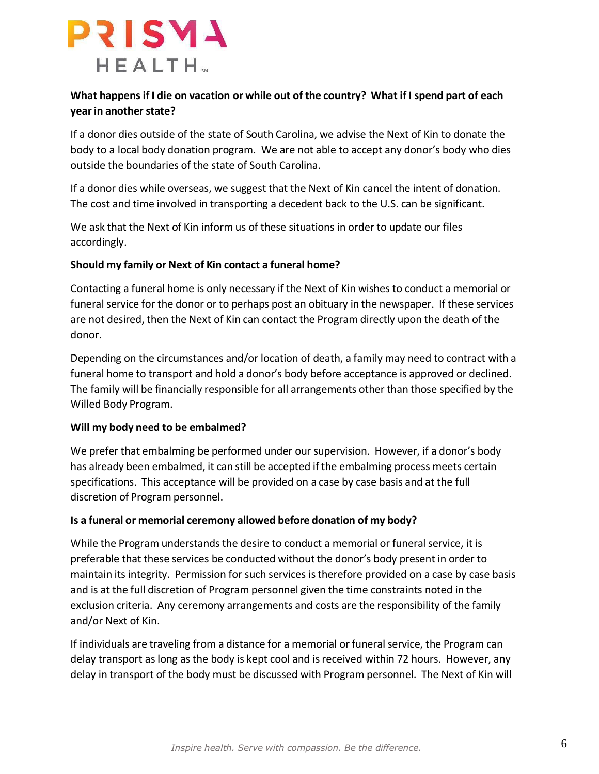

## What happens if I die on vacation or while out of the country? What if I spend part of each **year in another state?**

If a donor dies outside of the state of South Carolina, we advise the Next of Kin to donate the body to a local body donation program. We are not able to accept any donor's body who dies outside the boundaries of the state of South Carolina.

If a donor dies while overseas, we suggest that the Next of Kin cancel the intent of donation. The cost and time involved in transporting a decedent back to the U.S. can be significant.

We ask that the Next of Kin inform us of these situations in order to update our files accordingly.

### **Should my family or Next of Kin contact a funeral home?**

Contacting a funeral home is only necessary if the Next of Kin wishes to conduct a memorial or funeral service for the donor or to perhaps post an obituary in the newspaper. If these services are not desired, then the Next of Kin can contact the Program directly upon the death of the donor.

Depending on the circumstances and/or location of death, a family may need to contract with a funeral home to transport and hold a donor's body before acceptance is approved or declined. The family will be financially responsible for all arrangements other than those specified by the Willed Body Program.

#### **Will my body need to be embalmed?**

We prefer that embalming be performed under our supervision. However, if a donor's body has already been embalmed, it can still be accepted if the embalming process meets certain specifications. This acceptance will be provided on a case by case basis and at the full discretion of Program personnel.

#### **Is a funeral or memorial ceremony allowed before donation of my body?**

While the Program understands the desire to conduct a memorial or funeral service, it is preferable that these services be conducted without the donor's body present in order to maintain its integrity. Permission for such services istherefore provided on a case by case basis and is at the full discretion of Program personnel given the time constraints noted in the exclusion criteria. Any ceremony arrangements and costs are the responsibility of the family and/or Next of Kin.

If individuals are traveling from a distance for a memorial or funeral service, the Program can delay transport aslong asthe body is kept cool and isreceived within 72 hours. However, any delay in transport of the body must be discussed with Program personnel. The Next of Kin will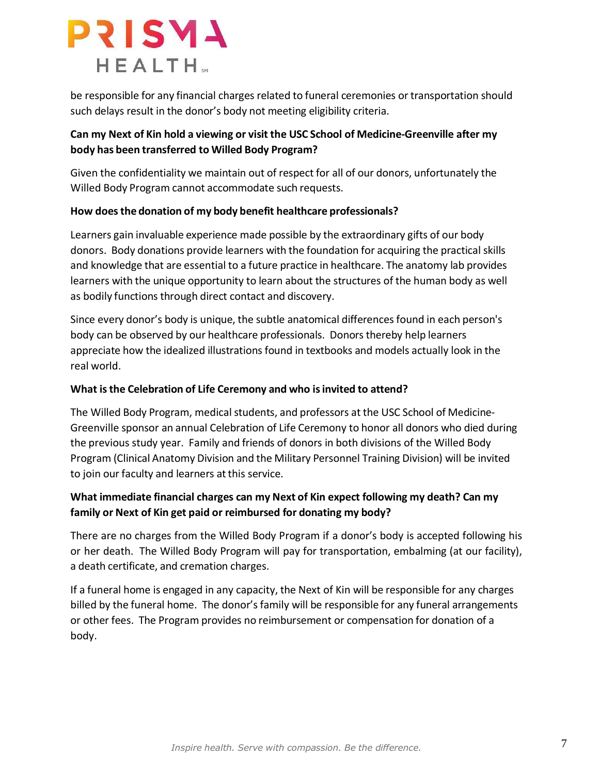

be responsible for any financial charges related to funeral ceremonies or transportation should such delays result in the donor's body not meeting eligibility criteria.

## **Can my Next of Kin hold a viewing or visit the USC School of Medicine-Greenville after my body has been transferred to Willed Body Program?**

Given the confidentiality we maintain out of respect for all of our donors, unfortunately the Willed Body Program cannot accommodate such requests.

### **How doesthe donation of my body benefit healthcare professionals?**

Learners gain invaluable experience made possible by the extraordinary gifts of our body donors. Body donations provide learners with the foundation for acquiring the practical skills and knowledge that are essential to a future practice in healthcare. The anatomy lab provides learners with the unique opportunity to learn about the structures of the human body as well as bodily functions through direct contact and discovery.

Since every donor's body is unique, the subtle anatomical differences found in each person's body can be observed by our healthcare professionals. Donorsthereby help learners appreciate how the idealized illustrations found in textbooks and models actually look in the real world.

## **What isthe Celebration of Life Ceremony and who isinvited to attend?**

The Willed Body Program, medical students, and professors at the USC School of Medicine-Greenville sponsor an annual Celebration of Life Ceremony to honor all donors who died during the previous study year. Family and friends of donors in both divisions of the Willed Body Program (Clinical Anatomy Division and the Military Personnel Training Division) will be invited to join our faculty and learners at this service.

## **What immediate financial charges can my Next of Kin expect following my death? Can my family or Next of Kin get paid or reimbursed for donating my body?**

There are no charges from the Willed Body Program if a donor's body is accepted following his or her death. The Willed Body Program will pay for transportation, embalming (at our facility), a death certificate, and cremation charges.

If a funeral home is engaged in any capacity, the Next of Kin will be responsible for any charges billed by the funeral home. The donor's family will be responsible for any funeral arrangements or other fees. The Program provides no reimbursement or compensation for donation of a body.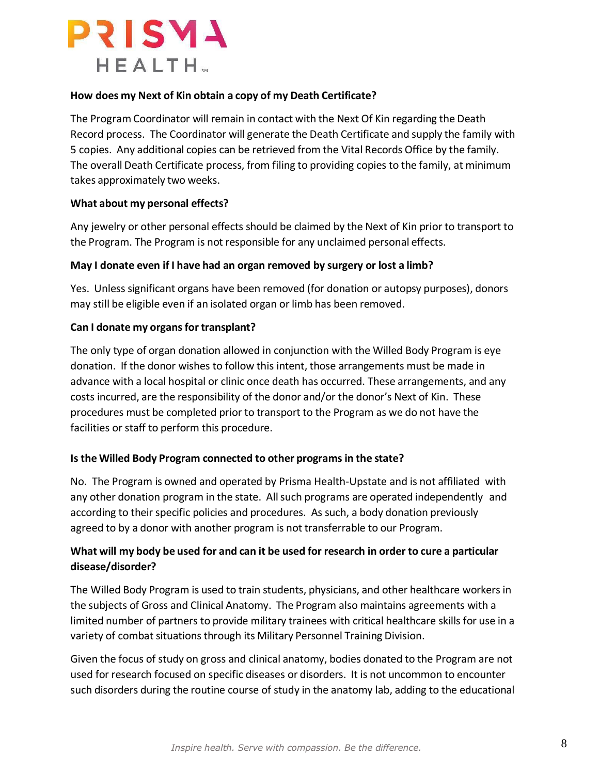

### **How does my Next of Kin obtain a copy of my Death Certificate?**

The Program Coordinator will remain in contact with the Next Of Kin regarding the Death Record process. The Coordinator will generate the Death Certificate and supply the family with 5 copies. Any additional copies can be retrieved from the Vital Records Office by the family. The overall Death Certificate process, from filing to providing copies to the family, at minimum takes approximately two weeks.

#### **What about my personal effects?**

Any jewelry or other personal effects should be claimed by the Next of Kin prior to transport to the Program. The Program is not responsible for any unclaimed personal effects.

### **May I donate even if I have had an organ removed by surgery or lost a limb?**

Yes. Unless significant organs have been removed (for donation or autopsy purposes), donors may still be eligible even if an isolated organ or limb has been removed.

#### **Can I donate my organsfor transplant?**

The only type of organ donation allowed in conjunction with the Willed Body Program is eye donation. If the donor wishes to follow this intent, those arrangements must be made in advance with a local hospital or clinic once death has occurred. These arrangements, and any costs incurred, are the responsibility of the donor and/or the donor's Next of Kin. These procedures must be completed prior to transport to the Program as we do not have the facilities or staff to perform this procedure.

#### **Is the Willed Body Program connected to other programs in the state?**

No. The Program is owned and operated by Prisma Health-Upstate and is not affiliated with any other donation program in the state. Allsuch programs are operated independently and according to their specific policies and procedures. As such, a body donation previously agreed to by a donor with another program is not transferrable to our Program.

## What will my body be used for and can it be used for research in order to cure a particular **disease/disorder?**

The Willed Body Program is used to train students, physicians, and other healthcare workers in the subjects of Gross and Clinical Anatomy. The Program also maintains agreements with a limited number of partners to provide military trainees with critical healthcare skills for use in a variety of combat situations through its Military Personnel Training Division.

Given the focus of study on gross and clinical anatomy, bodies donated to the Program are not used for research focused on specific diseases or disorders. It is not uncommon to encounter such disorders during the routine course of study in the anatomy lab, adding to the educational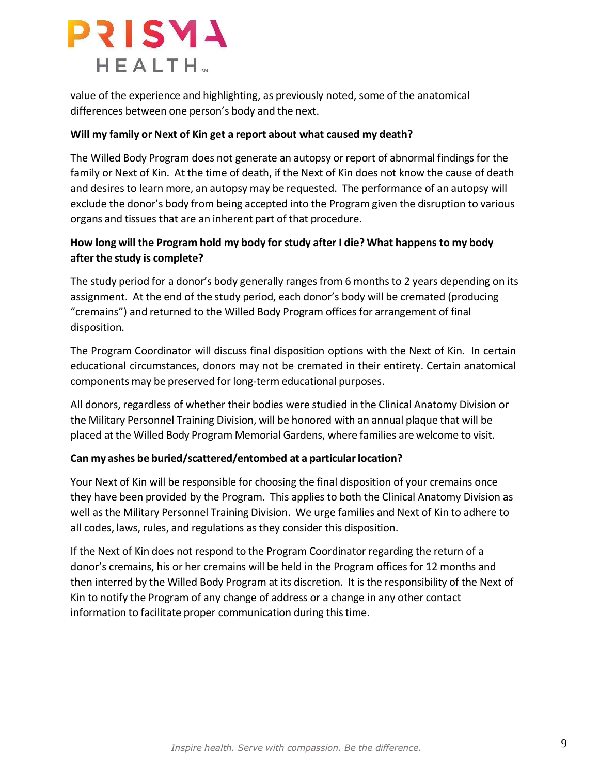

value of the experience and highlighting, as previously noted, some of the anatomical differences between one person's body and the next.

#### **Will my family or Next of Kin get a report about what caused my death?**

The Willed Body Program does not generate an autopsy orreport of abnormal findings for the family or Next of Kin. At the time of death, if the Next of Kin does not know the cause of death and desires to learn more, an autopsy may be requested. The performance of an autopsy will exclude the donor's body from being accepted into the Program given the disruption to various organs and tissues that are an inherent part of that procedure.

## **How long will the Program hold my body for study after I die? What happens to my body after the study is complete?**

The study period for a donor's body generally ranges from 6 months to 2 years depending on its assignment. At the end of the study period, each donor's body will be cremated (producing "cremains") and returned to the Willed Body Program offices for arrangement of final disposition.

The Program Coordinator will discuss final disposition options with the Next of Kin. In certain educational circumstances, donors may not be cremated in their entirety. Certain anatomical components may be preserved for long-term educational purposes.

All donors, regardless of whether their bodies were studied in the Clinical Anatomy Division or the Military Personnel Training Division, will be honored with an annual plaque that will be placed at the Willed Body Program Memorial Gardens, where families are welcome to visit.

#### **Can my ashes be buried/scattered/entombed at a particularlocation?**

Your Next of Kin will be responsible for choosing the final disposition of your cremains once they have been provided by the Program. This applies to both the Clinical Anatomy Division as well asthe Military Personnel Training Division. We urge families and Next of Kin to adhere to all codes, laws, rules, and regulations asthey consider this disposition.

If the Next of Kin does not respond to the Program Coordinator regarding the return of a donor's cremains, his or her cremains will be held in the Program offices for 12 months and then interred by the Willed Body Program at its discretion. It isthe responsibility of the Next of Kin to notify the Program of any change of address or a change in any other contact information to facilitate proper communication during this time.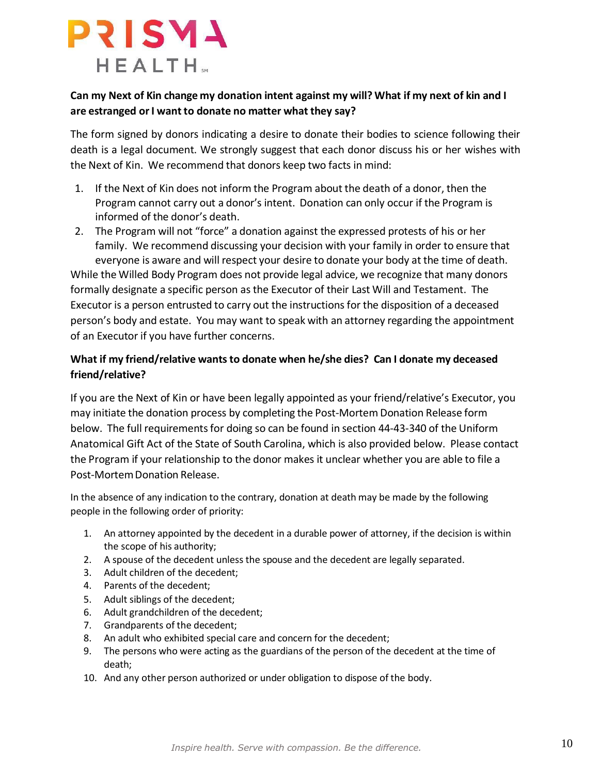

## **Can my Next of Kin change my donation intent against my will? What if my next of kin and I are estranged orI want to donate no matter what they say?**

The form signed by donors indicating a desire to donate their bodies to science following their death is a legal document. We strongly suggest that each donor discuss his or her wishes with the Next of Kin. We recommend that donors keep two facts in mind:

- 1. If the Next of Kin does not inform the Program about the death of a donor, then the Program cannot carry out a donor's intent. Donation can only occur if the Program is informed of the donor's death.
- 2. The Program will not "force" a donation against the expressed protests of his or her family. We recommend discussing your decision with your family in order to ensure that

everyone is aware and will respect your desire to donate your body at the time of death. While the Willed Body Program does not provide legal advice, we recognize that many donors formally designate a specific person asthe Executor of their Last Will and Testament. The Executor is a person entrusted to carry out the instructions for the disposition of a deceased person's body and estate. You may want to speak with an attorney regarding the appointment of an Executor if you have further concerns.

## **What if my friend/relative wantsto donate when he/she dies? Can I donate my deceased friend/relative?**

If you are the Next of Kin or have been legally appointed as your friend/relative's Executor, you may initiate the donation process by completing the Post-Mortem Donation Release form below. The full requirements for doing so can be found in section 44-43-340 of the Uniform Anatomical Gift Act of the State of South Carolina, which is also provided below. Please contact the Program if your relationship to the donor makes it unclear whether you are able to file a Post-MortemDonation Release.

In the absence of any indication to the contrary, donation at death may be made by the following people in the following order of priority:

- 1. An attorney appointed by the decedent in a durable power of attorney, if the decision is within the scope of his authority;
- 2. A spouse of the decedent unless the spouse and the decedent are legally separated.
- 3. Adult children of the decedent;
- 4. Parents of the decedent;
- 5. Adult siblings of the decedent;
- 6. Adult grandchildren of the decedent;
- 7. Grandparents of the decedent;
- 8. An adult who exhibited special care and concern for the decedent;
- 9. The persons who were acting as the guardians of the person of the decedent at the time of death;
- 10. And any other person authorized or under obligation to dispose of the body.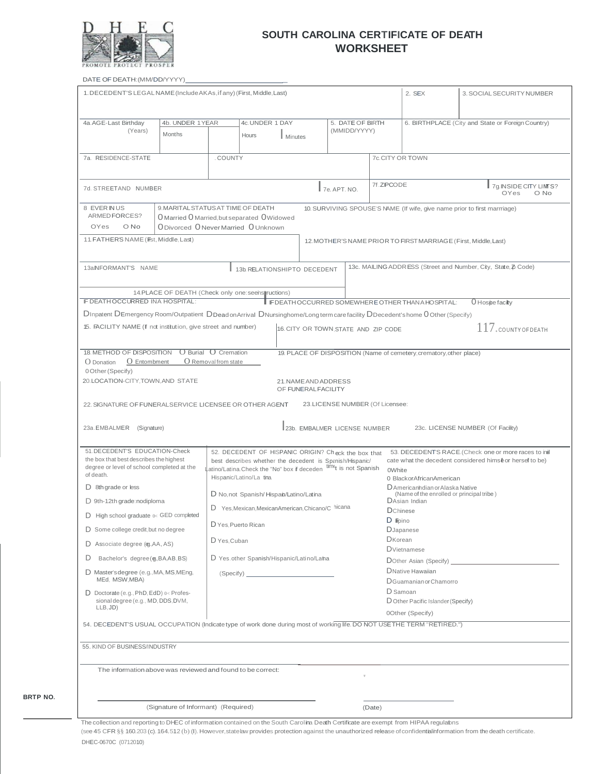

### **SOUTH CAROLINA CERTIFICATE OF DEATH WORKSHEET**

DATE OF DEATH: (MM/DD/YYYY)\_

**BRTP NO.**

| 1. DECEDENT'S LEGAL NAME (Include AKAs, if any) (First, Middle, Last)                                                         |                                     |                      |                                                                                                          |                                             | 2. SEX                              | 3. SOCIAL SECURITY NUMBER |                                                                     |                                                                           |
|-------------------------------------------------------------------------------------------------------------------------------|-------------------------------------|----------------------|----------------------------------------------------------------------------------------------------------|---------------------------------------------|-------------------------------------|---------------------------|---------------------------------------------------------------------|---------------------------------------------------------------------------|
|                                                                                                                               |                                     |                      |                                                                                                          |                                             |                                     |                           |                                                                     |                                                                           |
| 4a.AGE-Last Birthday                                                                                                          | 4b. UNDER 1YEAR                     |                      | 4c.UNDER 1 DAY                                                                                           |                                             | 5. DATE OF BIRTH                    |                           |                                                                     | 6. BIRTHPLACE (City and State or Foreign Country)                         |
| (Years)                                                                                                                       | Months                              |                      | Hours<br>Minutes                                                                                         |                                             | (MMIDD/YYYY)                        |                           |                                                                     |                                                                           |
|                                                                                                                               |                                     |                      |                                                                                                          |                                             |                                     |                           |                                                                     |                                                                           |
| 7a. RESIDENCE-STATE                                                                                                           |                                     | <b>COUNTY</b>        |                                                                                                          |                                             |                                     |                           | 7c.CITY OR TOWN                                                     |                                                                           |
|                                                                                                                               |                                     |                      |                                                                                                          |                                             |                                     |                           |                                                                     |                                                                           |
| 7d. STREETAND NUMBER                                                                                                          |                                     |                      |                                                                                                          |                                             | 7e. APT. NO.                        | 7f.ZIPCODE                |                                                                     | 7g INSIDE CITY LIMTS?<br>OYes<br>O No                                     |
| 8 EVER IN US                                                                                                                  | 9. MARITAL STATUS AT TIME OF DEATH  |                      |                                                                                                          |                                             |                                     |                           |                                                                     | 10. SURVIVING SPOUSE'S NAME (If wife, give name prior to first marrriage) |
| ARMEDFORCES?<br><b>OYes</b><br>O No                                                                                           | ODivorced ONeverMarried OUnknown    |                      | O Married O Married, but separated O Widowed                                                             |                                             |                                     |                           |                                                                     |                                                                           |
| 11. FATHER'S NAME (Fist, Middle, Last)                                                                                        |                                     |                      |                                                                                                          |                                             |                                     |                           |                                                                     |                                                                           |
|                                                                                                                               |                                     |                      |                                                                                                          |                                             |                                     |                           | 12. MOTHER'S NAME PRIOR TO FIRST MARRIAGE (First, Middle, Last)     |                                                                           |
|                                                                                                                               |                                     |                      |                                                                                                          |                                             |                                     |                           |                                                                     |                                                                           |
| 13a.NFORMANT'S NAME                                                                                                           |                                     |                      | 13b. RELATIONSHIPTO DECEDENT                                                                             |                                             |                                     |                           |                                                                     | 13c. MAILING ADDR ESS (Street and Number, City, State, Z Code)            |
|                                                                                                                               |                                     |                      |                                                                                                          |                                             |                                     |                           |                                                                     |                                                                           |
| IF DEATH OCCURRED INA HOSPITAL:                                                                                               |                                     |                      | 14.PLACE OF DEATH (Check only one: seens ructions)                                                       |                                             |                                     |                           | FDEATH OCCURRED SOMEWHERE OTHER THAN A HOSPITAL:                    | $0$ Hosipe facilty                                                        |
| Dinpatent DEmergency Room/Outpatient DDead on Arrival DNursinghome/Long term care facility DDecedent's home 0 Other (Specify) |                                     |                      |                                                                                                          |                                             |                                     |                           |                                                                     |                                                                           |
| 15. FACILITY NAME (If not institution, give street and number)                                                                |                                     |                      |                                                                                                          |                                             |                                     |                           |                                                                     | $117$ . COUNTY OF DEATH                                                   |
|                                                                                                                               |                                     |                      |                                                                                                          |                                             | 16. CITY OR TOWN STATE AND ZIP CODE |                           |                                                                     |                                                                           |
| <b>18. METHOD OF DISPOSITION</b>                                                                                              |                                     | O Burial O Cremation |                                                                                                          |                                             |                                     |                           | 19. PLACE OF DISPOSITION (Name of cemetery, crematory, other place) |                                                                           |
| O Entombment<br>O Donation                                                                                                    |                                     | O Removal from state |                                                                                                          |                                             |                                     |                           |                                                                     |                                                                           |
| 0 Other (Specify)                                                                                                             |                                     |                      |                                                                                                          |                                             |                                     |                           |                                                                     |                                                                           |
| 20. LOCATION-CITY, TOWN, AND STATE                                                                                            |                                     |                      |                                                                                                          | 21. NAME AND ADDRESS<br>OF FUNERAL FACILITY |                                     |                           |                                                                     |                                                                           |
|                                                                                                                               |                                     |                      |                                                                                                          |                                             | 23. LICENSE NUMBER (Of Licensee:    |                           |                                                                     |                                                                           |
| 22. SIGNATURE OF FUNERALSERVICE LICENSEE OR OTHER AGENT                                                                       |                                     |                      |                                                                                                          |                                             |                                     |                           |                                                                     |                                                                           |
| 23a.EMBALMER (Signature)                                                                                                      |                                     |                      |                                                                                                          |                                             | 23b. EMBALMER LICENSE NUMBER        |                           |                                                                     | 23c. LICENSE NUMBER (Of Facility)                                         |
|                                                                                                                               |                                     |                      |                                                                                                          |                                             |                                     |                           |                                                                     |                                                                           |
| 51. DECEDENT'S EDUCATION-Check                                                                                                |                                     |                      | 52. DECEDENT OF HISPANIC ORIGIN? Check the box that                                                      |                                             |                                     |                           |                                                                     | 53. DECEDENT'S RACE.(Check one or more races to ind                       |
| the box that best describes the highest<br>degree or level of school completed at the                                         |                                     |                      | best describes whether the decedent is Spanish/Hispanic/                                                 |                                             |                                     |                           |                                                                     | cate what the decedent considered himse or hersef to be)                  |
| of death.                                                                                                                     |                                     |                      | .atino/Latina.Check the "No" box if deceden <sup>time</sup> t is not Spanish<br>Hispanic/Latino/La tina. |                                             |                                     | <b>OWhite</b>             | 0 BlackorAfricanAmerican                                            |                                                                           |
| $D$ 8th grade or less                                                                                                         |                                     |                      |                                                                                                          |                                             |                                     |                           | D Americanhdian or Alaska Native                                    |                                                                           |
| D 9th-12th grade: nodiploma                                                                                                   |                                     |                      | D No, not Spanish/Hispain/Latino/Latina                                                                  |                                             |                                     |                           | (Name of the enrolled or principal tribe)<br>DAsian Indian          |                                                                           |
| $\Box$ High school graduate $0 <$ GED completed                                                                               |                                     |                      | D Yes. Mexican. Mexican American. Chicano/C hicana                                                       |                                             |                                     |                           | <b>D</b> Chinese                                                    |                                                                           |
| D Some college credit, but no degree                                                                                          |                                     |                      | D Yes, Puerto Rican                                                                                      |                                             |                                     | D Fino                    | <b>D</b> Japanese                                                   |                                                                           |
|                                                                                                                               |                                     | D Yes, Cuban         |                                                                                                          |                                             |                                     |                           | <b>D</b> Korean                                                     |                                                                           |
| D Associate degree (eg.AA, AS)                                                                                                |                                     |                      |                                                                                                          |                                             |                                     |                           | <b>D</b> Vietnamese                                                 |                                                                           |
| D Yes.other Spanish/Hispanic/Latino/Laha<br>Bachelor's degree (g, BA, AB, BS)<br>D                                            |                                     |                      |                                                                                                          | DOther Asian (Specify) _______________      |                                     |                           |                                                                     |                                                                           |
| D Master's degree (e.g., MA, MS, MEng,<br>MEd. MSW, MBA)                                                                      |                                     |                      | (Specify)                                                                                                |                                             |                                     |                           | DNative Hawaiian                                                    |                                                                           |
|                                                                                                                               |                                     |                      |                                                                                                          |                                             |                                     |                           | DGuamanian or Chamorro<br>D Samoan                                  |                                                                           |
| $D$ Doctorate (e.g., PhD, EdD) $0 <$ Profes-<br>sional degree (e.g., MD, DDS, DVM,                                            |                                     |                      |                                                                                                          |                                             |                                     |                           | D Other Pacific Islander (Specify)                                  |                                                                           |
| $LLB$ , JD)<br>0Other (Specify)                                                                                               |                                     |                      |                                                                                                          |                                             |                                     |                           |                                                                     |                                                                           |
| 54. DECEDENT'S USUAL OCCUPATION (Indicate type of work done during most of working life. DO NOT USETHE TERM "RETIRED.")       |                                     |                      |                                                                                                          |                                             |                                     |                           |                                                                     |                                                                           |
| 55. KIND OF BUSINESS/INDUSTRY                                                                                                 |                                     |                      |                                                                                                          |                                             |                                     |                           |                                                                     |                                                                           |
| The information above was reviewed and found to be correct:                                                                   |                                     |                      |                                                                                                          |                                             |                                     |                           |                                                                     |                                                                           |
|                                                                                                                               |                                     |                      |                                                                                                          |                                             |                                     |                           |                                                                     |                                                                           |
|                                                                                                                               |                                     |                      |                                                                                                          |                                             |                                     |                           |                                                                     |                                                                           |
|                                                                                                                               | (Signature of Informant) (Required) |                      |                                                                                                          |                                             |                                     |                           |                                                                     |                                                                           |
|                                                                                                                               |                                     |                      |                                                                                                          |                                             |                                     | (Date)                    |                                                                     |                                                                           |

The collection and reporting to DHEC of information contained on the South Carolina Death Certificate are exempt from HIPAA regulatons (see 45 CFR §§ 160.203 (c).164.512 (b) (I).However,statelaw provides protection against the unauthorized release ofconfidentialinformation from thedeath certificate. DHEC-0670C (0712010)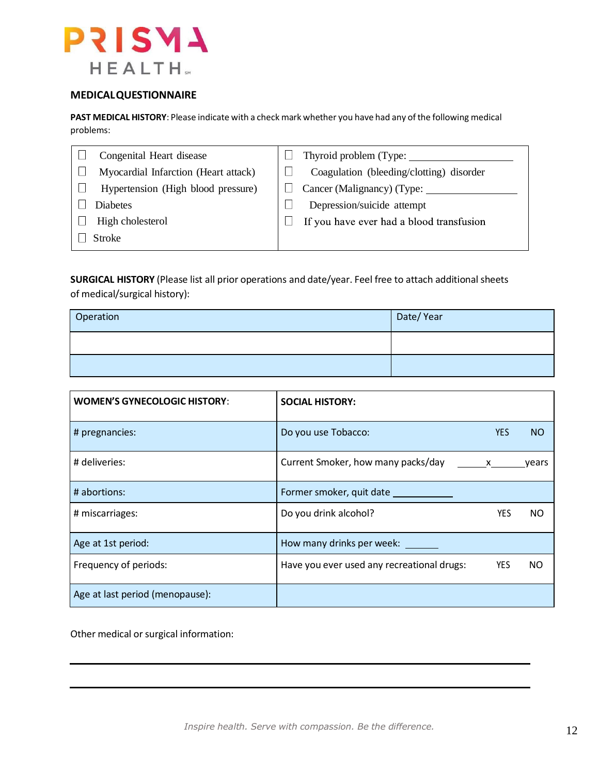

#### **MEDICALQUESTIONNAIRE**

**PAST MEDICAL HISTORY**: Please indicate with a check mark whether you have had any of the following medical problems:

| Congenital Heart disease             | Thyroid problem (Type:                   |
|--------------------------------------|------------------------------------------|
| Myocardial Infarction (Heart attack) | Coagulation (bleeding/clotting) disorder |
| Hypertension (High blood pressure)   | Cancer (Malignancy) (Type: ______        |
| <b>Diabetes</b>                      | Depression/suicide attempt               |
| High cholesterol                     | If you have ever had a blood transfusion |
| <b>Stroke</b>                        |                                          |

**SURGICAL HISTORY** (Please list all prior operations and date/year. Feel free to attach additional sheets of medical/surgical history):

| Operation | Date/Year |
|-----------|-----------|
|           |           |
|           |           |

| <b>WOMEN'S GYNECOLOGIC HISTORY:</b> | <b>SOCIAL HISTORY:</b>                     |                                                                                                                                                                                                                                                                                                  |       |
|-------------------------------------|--------------------------------------------|--------------------------------------------------------------------------------------------------------------------------------------------------------------------------------------------------------------------------------------------------------------------------------------------------|-------|
| # pregnancies:                      | Do you use Tobacco:                        | <b>YES</b>                                                                                                                                                                                                                                                                                       | NO.   |
| # deliveries:                       | Current Smoker, how many packs/day         | $\mathsf{X}$ and $\mathsf{X}$ and $\mathsf{X}$ are $\mathsf{X}$ and $\mathsf{X}$ are $\mathsf{X}$ and $\mathsf{X}$ are $\mathsf{X}$ and $\mathsf{X}$ are $\mathsf{X}$ and $\mathsf{X}$ are $\mathsf{X}$ and $\mathsf{X}$ are $\mathsf{X}$ and $\mathsf{X}$ are $\mathsf{X}$ and $\mathsf{X}$ are | vears |
| # abortions:                        | Former smoker, quit date                   |                                                                                                                                                                                                                                                                                                  |       |
| # miscarriages:                     | Do you drink alcohol?                      | <b>YES</b>                                                                                                                                                                                                                                                                                       | NO.   |
| Age at 1st period:                  | How many drinks per week:                  |                                                                                                                                                                                                                                                                                                  |       |
| Frequency of periods:               | Have you ever used any recreational drugs: | <b>YES</b>                                                                                                                                                                                                                                                                                       | NO    |
| Age at last period (menopause):     |                                            |                                                                                                                                                                                                                                                                                                  |       |

Other medical or surgical information: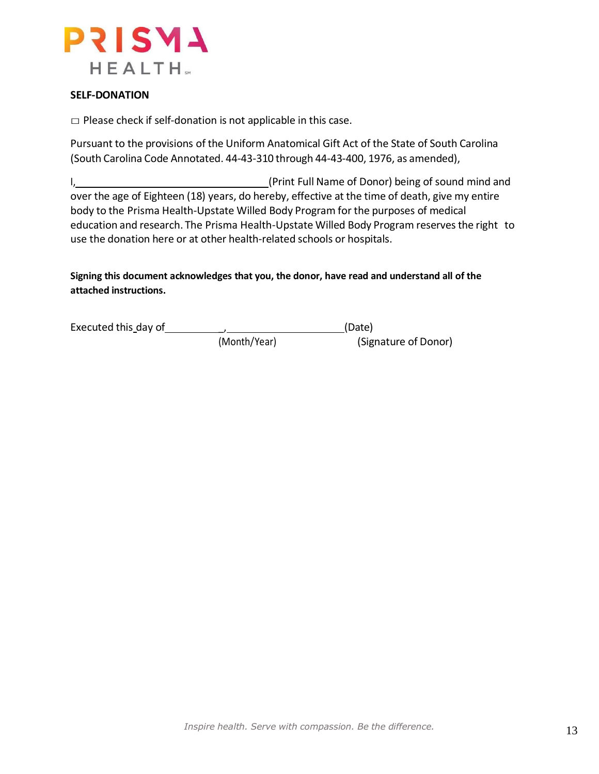

#### **SELF-DONATION**

 $\square$  Please check if self-donation is not applicable in this case.

Pursuant to the provisions of the Uniform Anatomical Gift Act of the State of South Carolina (South Carolina Code Annotated. 44-43-310 through 44-43-400, 1976, as amended),

I, (Print Full Name of Donor) being of sound mind and over the age of Eighteen (18) years, do hereby, effective at the time of death, give my entire body to the Prisma Health-Upstate Willed Body Program for the purposes of medical education and research. The Prisma Health-Upstate Willed Body Program reserves the right to use the donation here or at other health-related schools or hospitals.

**Signing this document acknowledges that you, the donor, have read and understand all of the attached instructions.**

| Executed this day of |              | (Date)               |  |  |
|----------------------|--------------|----------------------|--|--|
|                      | (Month/Year) | (Signature of Donor) |  |  |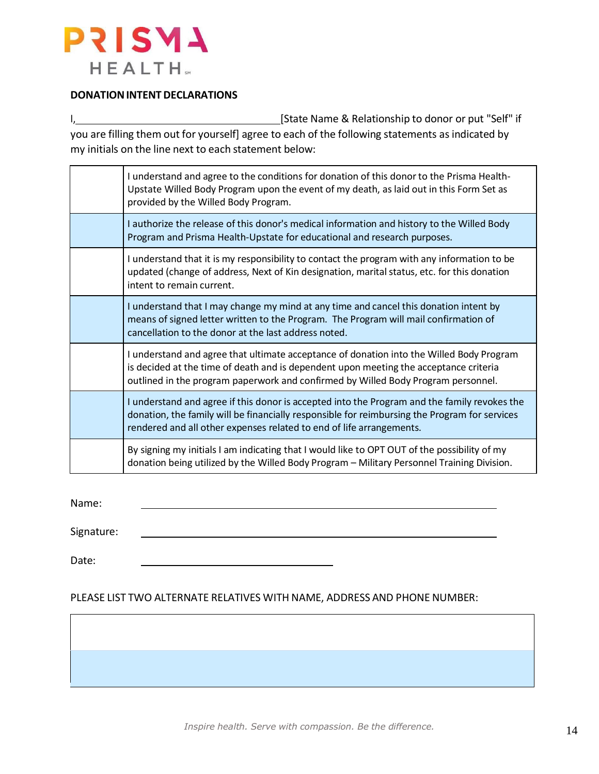

#### **DONATION INTENT DECLARATIONS**

I, 1, 2008 [State Name & Relationship to donor or put "Self" if you are filling them out for yourself] agree to each of the following statements as indicated by my initials on the line next to each statement below:

| I understand and agree to the conditions for donation of this donor to the Prisma Health-<br>Upstate Willed Body Program upon the event of my death, as laid out in this Form Set as<br>provided by the Willed Body Program.                                           |
|------------------------------------------------------------------------------------------------------------------------------------------------------------------------------------------------------------------------------------------------------------------------|
| I authorize the release of this donor's medical information and history to the Willed Body<br>Program and Prisma Health-Upstate for educational and research purposes.                                                                                                 |
| I understand that it is my responsibility to contact the program with any information to be<br>updated (change of address, Next of Kin designation, marital status, etc. for this donation<br>intent to remain current.                                                |
| I understand that I may change my mind at any time and cancel this donation intent by<br>means of signed letter written to the Program. The Program will mail confirmation of<br>cancellation to the donor at the last address noted.                                  |
| I understand and agree that ultimate acceptance of donation into the Willed Body Program<br>is decided at the time of death and is dependent upon meeting the acceptance criteria<br>outlined in the program paperwork and confirmed by Willed Body Program personnel. |
| I understand and agree if this donor is accepted into the Program and the family revokes the<br>donation, the family will be financially responsible for reimbursing the Program for services<br>rendered and all other expenses related to end of life arrangements.  |
| By signing my initials I am indicating that I would like to OPT OUT of the possibility of my<br>donation being utilized by the Willed Body Program - Military Personnel Training Division.                                                                             |
|                                                                                                                                                                                                                                                                        |

Name:

Signature:

Date:

#### PLEASE LIST TWO ALTERNATE RELATIVES WITH NAME, ADDRESS AND PHONE NUMBER: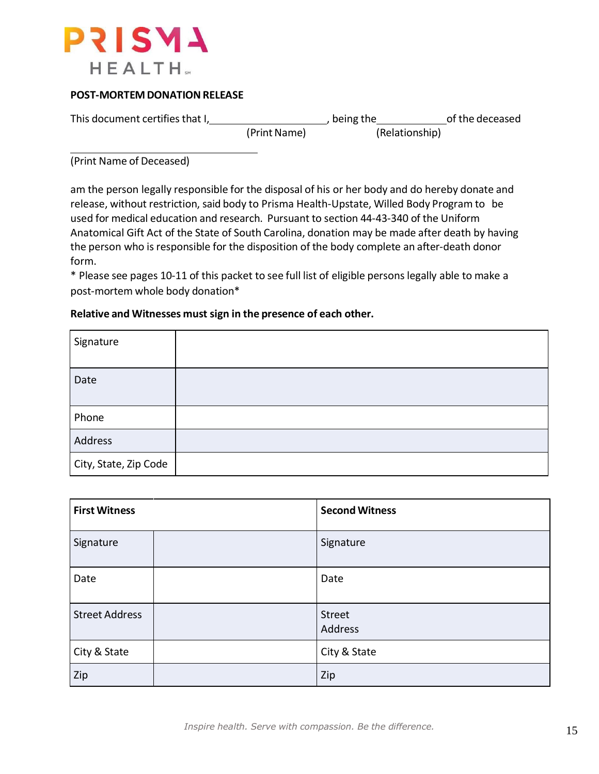

### **POST-MORTEM DONATION RELEASE**

This document certifies that I, , being the of the deceased (Print Name) (Relationship)

(Print Name of Deceased)

am the person legally responsible for the disposal of his or her body and do hereby donate and release, without restriction, said body to Prisma Health-Upstate, Willed Body Program to be used for medical education and research. Pursuant to section 44-43-340 of the Uniform Anatomical Gift Act of the State of South Carolina, donation may be made after death by having the person who is responsible for the disposition of the body complete an after-death donor form.

\* Please see pages 10-11 of this packet to see full list of eligible persons legally able to make a post-mortem whole body donation\*

### **Relative and Witnesses must sign in the presence of each other.**

| Signature             |  |
|-----------------------|--|
| Date                  |  |
| Phone                 |  |
| Address               |  |
| City, State, Zip Code |  |

| <b>First Witness</b>  | <b>Second Witness</b> |
|-----------------------|-----------------------|
| Signature             | Signature             |
| Date                  | Date                  |
| <b>Street Address</b> | Street<br>Address     |
| City & State          | City & State          |
| Zip                   | Zip                   |